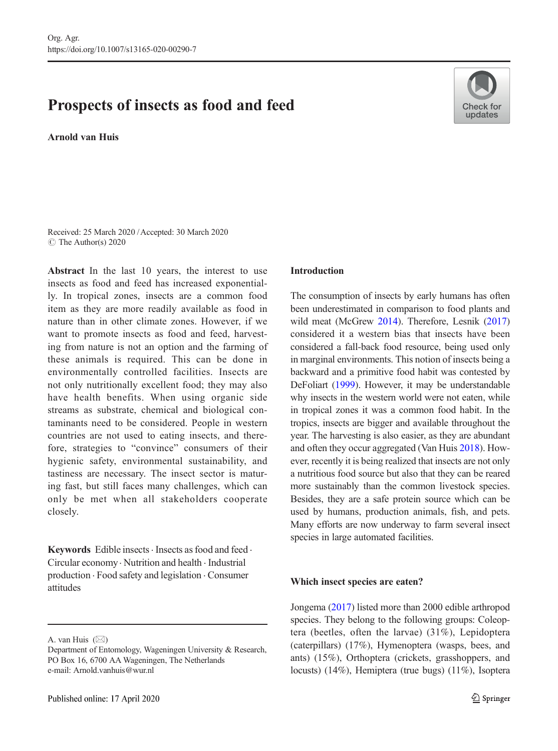# Prospects of insects as food and feed

Arnold van Huis



Received: 25 March 2020 /Accepted: 30 March 2020  $\circ$  The Author(s) 2020

Abstract In the last 10 years, the interest to use insects as food and feed has increased exponentially. In tropical zones, insects are a common food item as they are more readily available as food in nature than in other climate zones. However, if we want to promote insects as food and feed, harvesting from nature is not an option and the farming of these animals is required. This can be done in environmentally controlled facilities. Insects are not only nutritionally excellent food; they may also have health benefits. When using organic side streams as substrate, chemical and biological contaminants need to be considered. People in western countries are not used to eating insects, and therefore, strategies to "convince" consumers of their hygienic safety, environmental sustainability, and tastiness are necessary. The insect sector is maturing fast, but still faces many challenges, which can only be met when all stakeholders cooperate closely.

Keywords Edible insects  $\cdot$  Insects as food and feed  $\cdot$ Circular economy. Nutrition and health . Industrial production . Food safety and legislation . Consumer attitudes

## Introduction

The consumption of insects by early humans has often been underestimated in comparison to food plants and wild meat (McGrew [2014](#page-5-0)). Therefore, Lesnik ([2017](#page-5-0)) considered it a western bias that insects have been considered a fall-back food resource, being used only in marginal environments. This notion of insects being a backward and a primitive food habit was contested by DeFoliart ([1999](#page-5-0)). However, it may be understandable why insects in the western world were not eaten, while in tropical zones it was a common food habit. In the tropics, insects are bigger and available throughout the year. The harvesting is also easier, as they are abundant and often they occur aggregated (Van Huis [2018](#page-6-0)). However, recently it is being realized that insects are not only a nutritious food source but also that they can be reared more sustainably than the common livestock species. Besides, they are a safe protein source which can be used by humans, production animals, fish, and pets. Many efforts are now underway to farm several insect species in large automated facilities.

## Which insect species are eaten?

Jongema [\(2017\)](#page-5-0) listed more than 2000 edible arthropod species. They belong to the following groups: Coleoptera (beetles, often the larvae) (31%), Lepidoptera (caterpillars) (17%), Hymenoptera (wasps, bees, and ants) (15%), Orthoptera (crickets, grasshoppers, and locusts) (14%), Hemiptera (true bugs) (11%), Isoptera

A. van Huis  $(\boxtimes)$ 

Department of Entomology, Wageningen University & Research, PO Box 16, 6700 AA Wageningen, The Netherlands e-mail: Arnold.vanhuis@wur.nl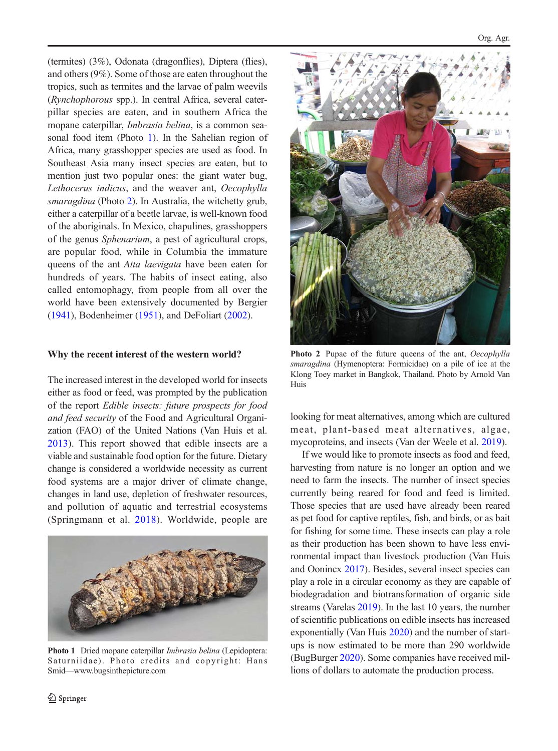(termites) (3%), Odonata (dragonflies), Diptera (flies), and others (9%). Some of those are eaten throughout the tropics, such as termites and the larvae of palm weevils (Rynchophorous spp.). In central Africa, several caterpillar species are eaten, and in southern Africa the mopane caterpillar, Imbrasia belina, is a common seasonal food item (Photo 1). In the Sahelian region of Africa, many grasshopper species are used as food. In Southeast Asia many insect species are eaten, but to mention just two popular ones: the giant water bug, Lethocerus indicus, and the weaver ant, Oecophylla smaragdina (Photo 2). In Australia, the witchetty grub, either a caterpillar of a beetle larvae, is well-known food of the aboriginals. In Mexico, chapulines, grasshoppers of the genus Sphenarium, a pest of agricultural crops, are popular food, while in Columbia the immature queens of the ant Atta laevigata have been eaten for hundreds of years. The habits of insect eating, also called entomophagy, from people from all over the world have been extensively documented by Bergier ([1941](#page-5-0)), Bodenheimer ([1951](#page-5-0)), and DeFoliart [\(2002](#page-5-0)).

### Why the recent interest of the western world?

The increased interest in the developed world for insects either as food or feed, was prompted by the publication of the report Edible insects: future prospects for food and feed security of the Food and Agricultural Organization (FAO) of the United Nations (Van Huis et al. [2013\)](#page-7-0). This report showed that edible insects are a viable and sustainable food option for the future. Dietary change is considered a worldwide necessity as current food systems are a major driver of climate change, changes in land use, depletion of freshwater resources, and pollution of aquatic and terrestrial ecosystems (Springmann et al. [2018](#page-6-0)). Worldwide, people are



Photo 1 Dried mopane caterpillar *Imbrasia belina* (Lepidoptera: Saturniidae). Photo credits and copyright: Hans Smid—www.bugsinthepicture.com



Photo 2 Pupae of the future queens of the ant, Oecophylla smaragdina (Hymenoptera: Formicidae) on a pile of ice at the Klong Toey market in Bangkok, Thailand. Photo by Arnold Van Huis

looking for meat alternatives, among which are cultured meat, plant-based meat alternatives, algae, mycoproteins, and insects (Van der Weele et al. [2019\)](#page-6-0).

If we would like to promote insects as food and feed, harvesting from nature is no longer an option and we need to farm the insects. The number of insect species currently being reared for food and feed is limited. Those species that are used have already been reared as pet food for captive reptiles, fish, and birds, or as bait for fishing for some time. These insects can play a role as their production has been shown to have less environmental impact than livestock production (Van Huis and Oonincx [2017\)](#page-7-0). Besides, several insect species can play a role in a circular economy as they are capable of biodegradation and biotransformation of organic side streams (Varelas [2019](#page-7-0)). In the last 10 years, the number of scientific publications on edible insects has increased exponentially (Van Huis [2020](#page-7-0)) and the number of startups is now estimated to be more than 290 worldwide (BugBurger [2020\)](#page-5-0). Some companies have received millions of dollars to automate the production process.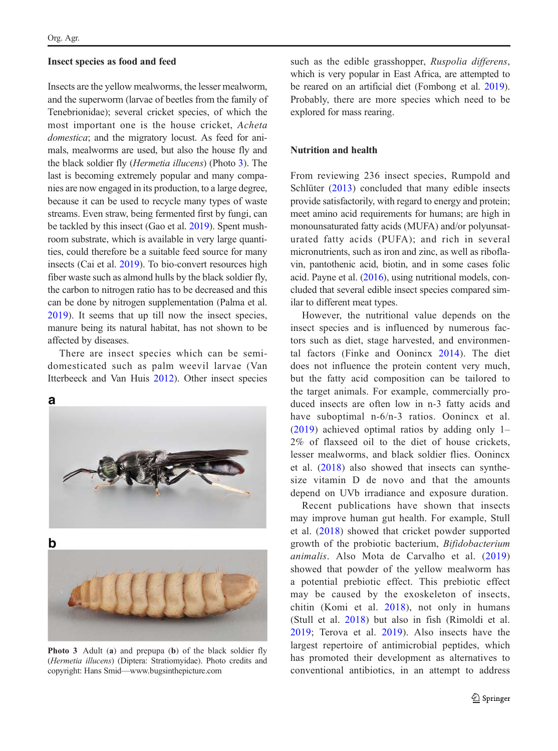## Insect species as food and feed

Insects are the yellow mealworms, the lesser mealworm, and the superworm (larvae of beetles from the family of Tenebrionidae); several cricket species, of which the most important one is the house cricket, Acheta domestica; and the migratory locust. As feed for animals, mealworms are used, but also the house fly and the black soldier fly (Hermetia illucens) (Photo 3). The last is becoming extremely popular and many companies are now engaged in its production, to a large degree, because it can be used to recycle many types of waste streams. Even straw, being fermented first by fungi, can be tackled by this insect (Gao et al. [2019](#page-5-0)). Spent mushroom substrate, which is available in very large quantities, could therefore be a suitable feed source for many insects (Cai et al. [2019\)](#page-5-0). To bio-convert resources high fiber waste such as almond hulls by the black soldier fly, the carbon to nitrogen ratio has to be decreased and this can be done by nitrogen supplementation (Palma et al. [2019\)](#page-6-0). It seems that up till now the insect species, manure being its natural habitat, has not shown to be affected by diseases.

There are insect species which can be semidomesticated such as palm weevil larvae (Van Itterbeeck and Van Huis [2012\)](#page-7-0). Other insect species



b

Photo 3 Adult (a) and prepupa (b) of the black soldier fly (Hermetia illucens) (Diptera: Stratiomyidae). Photo credits and copyright: Hans Smid—www.bugsinthepicture.com

such as the edible grasshopper, Ruspolia differens, which is very popular in East Africa, are attempted to be reared on an artificial diet (Fombong et al. [2019\)](#page-5-0). Probably, there are more species which need to be explored for mass rearing.

# Nutrition and health

From reviewing 236 insect species, Rumpold and Schlüter ([2013\)](#page-6-0) concluded that many edible insects provide satisfactorily, with regard to energy and protein; meet amino acid requirements for humans; are high in monounsaturated fatty acids (MUFA) and/or polyunsaturated fatty acids (PUFA); and rich in several micronutrients, such as iron and zinc, as well as riboflavin, pantothenic acid, biotin, and in some cases folic acid. Payne et al. [\(2016\)](#page-6-0), using nutritional models, concluded that several edible insect species compared similar to different meat types.

However, the nutritional value depends on the insect species and is influenced by numerous factors such as diet, stage harvested, and environmental factors (Finke and Oonincx [2014\)](#page-5-0). The diet does not influence the protein content very much, but the fatty acid composition can be tailored to the target animals. For example, commercially produced insects are often low in n-3 fatty acids and have suboptimal n-6/n-3 ratios. Oonincx et al. [\(2019\)](#page-6-0) achieved optimal ratios by adding only 1– 2% of flaxseed oil to the diet of house crickets, lesser mealworms, and black soldier flies. Oonincx et al. ([2018](#page-6-0)) also showed that insects can synthesize vitamin D de novo and that the amounts depend on UVb irradiance and exposure duration.

Recent publications have shown that insects may improve human gut health. For example, Stull et al. [\(2018\)](#page-6-0) showed that cricket powder supported growth of the probiotic bacterium, Bifidobacterium animalis. Also Mota de Carvalho et al. [\(2019](#page-6-0)) showed that powder of the yellow mealworm has a potential prebiotic effect. This prebiotic effect may be caused by the exoskeleton of insects, chitin (Komi et al. [2018](#page-5-0)), not only in humans (Stull et al. [2018\)](#page-6-0) but also in fish (Rimoldi et al. [2019](#page-6-0); Terova et al. [2019\)](#page-6-0). Also insects have the largest repertoire of antimicrobial peptides, which has promoted their development as alternatives to conventional antibiotics, in an attempt to address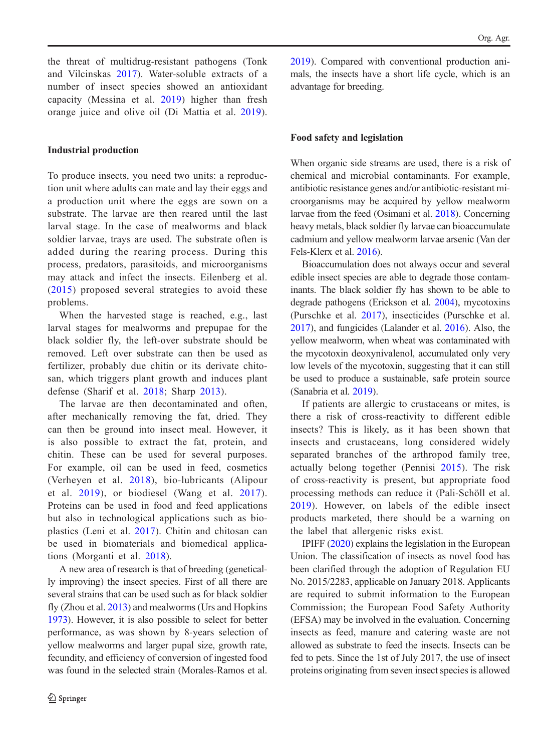the threat of multidrug-resistant pathogens (Tonk and Vilcinskas [2017\)](#page-6-0). Water-soluble extracts of a number of insect species showed an antioxidant capacity (Messina et al. [2019](#page-6-0)) higher than fresh orange juice and olive oil (Di Mattia et al. [2019](#page-5-0)).

# Industrial production

To produce insects, you need two units: a reproduction unit where adults can mate and lay their eggs and a production unit where the eggs are sown on a substrate. The larvae are then reared until the last larval stage. In the case of mealworms and black soldier larvae, trays are used. The substrate often is added during the rearing process. During this process, predators, parasitoids, and microorganisms may attack and infect the insects. Eilenberg et al. ([2015](#page-5-0)) proposed several strategies to avoid these problems.

When the harvested stage is reached, e.g., last larval stages for mealworms and prepupae for the black soldier fly, the left-over substrate should be removed. Left over substrate can then be used as fertilizer, probably due chitin or its derivate chitosan, which triggers plant growth and induces plant defense (Sharif et al. [2018](#page-6-0); Sharp [2013\)](#page-6-0).

The larvae are then decontaminated and often, after mechanically removing the fat, dried. They can then be ground into insect meal. However, it is also possible to extract the fat, protein, and chitin. These can be used for several purposes. For example, oil can be used in feed, cosmetics (Verheyen et al. [2018](#page-7-0)), bio-lubricants (Alipour et al. [2019](#page-5-0)), or biodiesel (Wang et al. [2017](#page-7-0)). Proteins can be used in food and feed applications but also in technological applications such as bioplastics (Leni et al. [2017\)](#page-5-0). Chitin and chitosan can be used in biomaterials and biomedical applications (Morganti et al. [2018\)](#page-6-0).

A new area of research is that of breeding (genetically improving) the insect species. First of all there are several strains that can be used such as for black soldier fly (Zhou et al. [2013](#page-7-0)) and mealworms (Urs and Hopkins [1973](#page-6-0)). However, it is also possible to select for better performance, as was shown by 8-years selection of yellow mealworms and larger pupal size, growth rate, fecundity, and efficiency of conversion of ingested food was found in the selected strain (Morales-Ramos et al.

[2019\)](#page-6-0). Compared with conventional production animals, the insects have a short life cycle, which is an advantage for breeding.

### Food safety and legislation

When organic side streams are used, there is a risk of chemical and microbial contaminants. For example, antibiotic resistance genes and/or antibiotic-resistant microorganisms may be acquired by yellow mealworm larvae from the feed (Osimani et al. [2018\)](#page-6-0). Concerning heavy metals, black soldier fly larvae can bioaccumulate cadmium and yellow mealworm larvae arsenic (Van der Fels-Klerx et al. [2016\)](#page-6-0).

Bioaccumulation does not always occur and several edible insect species are able to degrade those contaminants. The black soldier fly has shown to be able to degrade pathogens (Erickson et al. [2004\)](#page-5-0), mycotoxins (Purschke et al. [2017](#page-6-0)), insecticides (Purschke et al. [2017](#page-6-0)), and fungicides (Lalander et al. [2016\)](#page-5-0). Also, the yellow mealworm, when wheat was contaminated with the mycotoxin deoxynivalenol, accumulated only very low levels of the mycotoxin, suggesting that it can still be used to produce a sustainable, safe protein source (Sanabria et al. [2019](#page-6-0)).

If patients are allergic to crustaceans or mites, is there a risk of cross-reactivity to different edible insects? This is likely, as it has been shown that insects and crustaceans, long considered widely separated branches of the arthropod family tree, actually belong together (Pennisi [2015\)](#page-6-0). The risk of cross-reactivity is present, but appropriate food processing methods can reduce it (Pali-Schöll et al. [2019\)](#page-6-0). However, on labels of the edible insect products marketed, there should be a warning on the label that allergenic risks exist.

IPIFF [\(2020\)](#page-5-0) explains the legislation in the European Union. The classification of insects as novel food has been clarified through the adoption of Regulation EU No. 2015/2283, applicable on January 2018. Applicants are required to submit information to the European Commission; the European Food Safety Authority (EFSA) may be involved in the evaluation. Concerning insects as feed, manure and catering waste are not allowed as substrate to feed the insects. Insects can be fed to pets. Since the 1st of July 2017, the use of insect proteins originating from seven insect species is allowed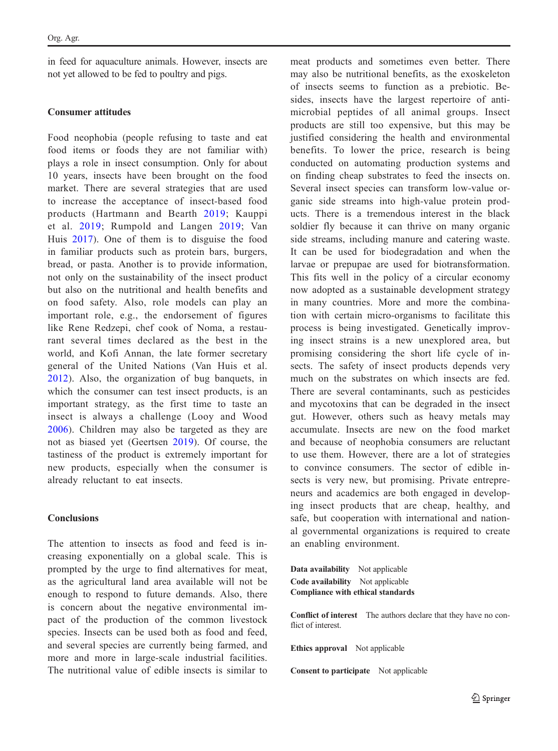in feed for aquaculture animals. However, insects are not yet allowed to be fed to poultry and pigs.

# Consumer attitudes

Food neophobia (people refusing to taste and eat food items or foods they are not familiar with) plays a role in insect consumption. Only for about 10 years, insects have been brought on the food market. There are several strategies that are used to increase the acceptance of insect-based food products (Hartmann and Bearth [2019;](#page-5-0) Kauppi et al. [2019](#page-5-0); Rumpold and Langen [2019;](#page-6-0) Van Huis [2017](#page-6-0)). One of them is to disguise the food in familiar products such as protein bars, burgers, bread, or pasta. Another is to provide information, not only on the sustainability of the insect product but also on the nutritional and health benefits and on food safety. Also, role models can play an important role, e.g., the endorsement of figures like Rene Redzepi, chef cook of Noma, a restaurant several times declared as the best in the world, and Kofi Annan, the late former secretary general of the United Nations (Van Huis et al. [2012](#page-7-0)). Also, the organization of bug banquets, in which the consumer can test insect products, is an important strategy, as the first time to taste an insect is always a challenge (Looy and Wood [2006](#page-5-0)). Children may also be targeted as they are not as biased yet (Geertsen [2019\)](#page-5-0). Of course, the tastiness of the product is extremely important for new products, especially when the consumer is already reluctant to eat insects.

# **Conclusions**

The attention to insects as food and feed is increasing exponentially on a global scale. This is prompted by the urge to find alternatives for meat, as the agricultural land area available will not be enough to respond to future demands. Also, there is concern about the negative environmental impact of the production of the common livestock species. Insects can be used both as food and feed, and several species are currently being farmed, and more and more in large-scale industrial facilities. The nutritional value of edible insects is similar to meat products and sometimes even better. There may also be nutritional benefits, as the exoskeleton of insects seems to function as a prebiotic. Besides, insects have the largest repertoire of antimicrobial peptides of all animal groups. Insect products are still too expensive, but this may be justified considering the health and environmental benefits. To lower the price, research is being conducted on automating production systems and on finding cheap substrates to feed the insects on. Several insect species can transform low-value organic side streams into high-value protein products. There is a tremendous interest in the black soldier fly because it can thrive on many organic side streams, including manure and catering waste. It can be used for biodegradation and when the larvae or prepupae are used for biotransformation. This fits well in the policy of a circular economy now adopted as a sustainable development strategy in many countries. More and more the combination with certain micro-organisms to facilitate this process is being investigated. Genetically improving insect strains is a new unexplored area, but promising considering the short life cycle of insects. The safety of insect products depends very much on the substrates on which insects are fed. There are several contaminants, such as pesticides and mycotoxins that can be degraded in the insect gut. However, others such as heavy metals may accumulate. Insects are new on the food market and because of neophobia consumers are reluctant to use them. However, there are a lot of strategies to convince consumers. The sector of edible insects is very new, but promising. Private entrepreneurs and academics are both engaged in developing insect products that are cheap, healthy, and safe, but cooperation with international and national governmental organizations is required to create an enabling environment.

Data availability Not applicable Code availability Not applicable Compliance with ethical standards

Conflict of interest The authors declare that they have no conflict of interest.

Ethics approval Not applicable

Consent to participate Not applicable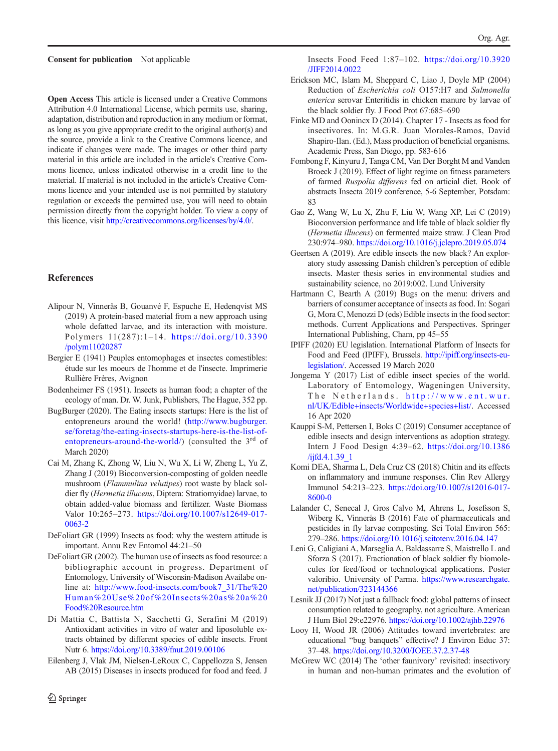#### <span id="page-5-0"></span>Consent for publication Not applicable

Open Access This article is licensed under a Creative Commons Attribution 4.0 International License, which permits use, sharing, adaptation, distribution and reproduction in any medium or format, as long as you give appropriate credit to the original author(s) and the source, provide a link to the Creative Commons licence, and indicate if changes were made. The images or other third party material in this article are included in the article's Creative Commons licence, unless indicated otherwise in a credit line to the material. If material is not included in the article's Creative Commons licence and your intended use is not permitted by statutory regulation or exceeds the permitted use, you will need to obtain permission directly from the copyright holder. To view a copy of this licence, visit [http://creativecommons.org/licenses/by/4.0/.](https://doi.org/http://creativecommons.org/licenses/by/4.0/)

# **References**

- Alipour N, Vinnerås B, Gouanvé F, Espuche E, Hedenqvist MS (2019) A protein-based material from a new approach using whole defatted larvae, and its interaction with moisture. Polymers 11(287):1–14. [https://doi.org/10.3390](https://doi.org/10.3390/polym11020287) [/polym11020287](https://doi.org/10.3390/polym11020287)
- Bergier E (1941) Peuples entomophages et insectes comestibles: étude sur les moeurs de l'homme et de l'insecte. Imprimerie Rullière Frères, Avignon
- Bodenheimer FS (1951). Insects as human food; a chapter of the ecology of man. Dr. W. Junk, Publishers, The Hague, 352 pp.
- BugBurger (2020). The Eating insects startups: Here is the list of entopreneurs around the world! ([http://www.bugburger.](https://doi.org/http://creativecommons.org/licenses/by/4.0/) [se/foretag/the-eating-insects-startups-here-is-the-list-of](https://doi.org/http://creativecommons.org/licenses/by/4.0/)[entopreneurs-around-the-world/\)](https://doi.org/http://creativecommons.org/licenses/by/4.0/) (consulted the  $3<sup>rd</sup>$  of March 2020)
- Cai M, Zhang K, Zhong W, Liu N, Wu X, Li W, Zheng L, Yu Z, Zhang J (2019) Bioconversion-composting of golden needle mushroom (Flammulina velutipes) root waste by black soldier fly (Hermetia illucens, Diptera: Stratiomyidae) larvae, to obtain added-value biomass and fertilizer. Waste Biomass Valor 10:265–273. [https://doi.org/10.1007/s12649-017-](https://doi.org/10.1007/s12649-017-0063-2) [0063-2](https://doi.org/10.1007/s12649-017-0063-2)
- DeFoliart GR (1999) Insects as food: why the western attitude is important. Annu Rev Entomol 44:21–50
- DeFoliart GR (2002). The human use of insects as food resource: a bibliographic account in progress. Department of Entomology, University of Wisconsin-Madison Availabe online at: [http://www.food-insects.com/book7\\_31/The%20](https://doi.org/http://creativecommons.org/licenses/by/4.0/) [Human%20Use%20of%20Insects%20as%20a%20](https://doi.org/http://creativecommons.org/licenses/by/4.0/) [Food%20Resource.htm](https://doi.org/http://creativecommons.org/licenses/by/4.0/)
- Di Mattia C, Battista N, Sacchetti G, Serafini M (2019) Antioxidant activities in vitro of water and liposoluble extracts obtained by different species of edible insects. Front Nutr 6. <https://doi.org/10.3389/fnut.2019.00106>
- Eilenberg J, Vlak JM, Nielsen-LeRoux C, Cappellozza S, Jensen AB (2015) Diseases in insects produced for food and feed. J
- Insects Food Feed 1:87–102. [https://doi.org/10.3920](https://doi.org/10.3920/JIFF2014.0022) [/JIFF2014.0022](https://doi.org/10.3920/JIFF2014.0022)
- Erickson MC, Islam M, Sheppard C, Liao J, Doyle MP (2004) Reduction of Escherichia coli O157:H7 and Salmonella enterica serovar Enteritidis in chicken manure by larvae of the black soldier fly. J Food Prot 67:685–690
- Finke MD and Oonincx D (2014). Chapter 17 Insects as food for insectivores. In: M.G.R. Juan Morales-Ramos, David Shapiro-Ilan. (Ed.), Mass production of beneficial organisms. Academic Press, San Diego, pp. 583-616
- Fombong F, Kinyuru J, Tanga CM, Van Der Borght M and Vanden Broeck J (2019). Effect of light regime on fitness parameters of farmed Ruspolia differens fed on articial diet. Book of abstracts Insecta 2019 conference, 5-6 September, Potsdam: 83
- Gao Z, Wang W, Lu X, Zhu F, Liu W, Wang XP, Lei C (2019) Bioconversion performance and life table of black soldier fly (Hermetia illucens) on fermented maize straw. J Clean Prod 230:974–980. <https://doi.org/10.1016/j.jclepro.2019.05.074>
- Geertsen A (2019). Are edible insects the new black? An exploratory study assessing Danish children's perception of edible insects. Master thesis series in environmental studies and sustainability science, no 2019:002. Lund University
- Hartmann C, Bearth A (2019) Bugs on the menu: drivers and barriers of consumer acceptance of insects as food. In: Sogari G, Mora C, Menozzi D (eds) Edible insects in the food sector: methods. Current Applications and Perspectives. Springer International Publishing, Cham, pp 45–55
- IPIFF (2020) EU legislation. International Platform of Insects for Food and Feed (IPIFF), Brussels. [http://ipiff.org/insects-eu](https://doi.org/http://creativecommons.org/licenses/by/4.0/)[legislation/.](https://doi.org/http://creativecommons.org/licenses/by/4.0/) Accessed 19 March 2020
- Jongema Y (2017) List of edible insect species of the world. Laboratory of Entomology, Wageningen University, The Netherlands. [http://www.ent.wur.](https://doi.org/http://creativecommons.org/licenses/by/4.0/) [nl/UK/Edible+insects/Worldwide+species+list/](https://doi.org/http://creativecommons.org/licenses/by/4.0/). Accessed 16 Apr 2020
- Kauppi S-M, Pettersen I, Boks C (2019) Consumer acceptance of edible insects and design interventions as adoption strategy. Intern J Food Design 4:39–62. [https://doi.org/10.1386](https://doi.org/10.1386/ijfd.4.1.39_1) [/ijfd.4.1.39\\_1](https://doi.org/10.1386/ijfd.4.1.39_1)
- Komi DEA, Sharma L, Dela Cruz CS (2018) Chitin and its effects on inflammatory and immune responses. Clin Rev Allergy Immunol 54:213–223. [https://doi.org/10.1007/s12016-017-](https://doi.org/10.1007/s12016-017-8600-0) [8600-0](https://doi.org/10.1007/s12016-017-8600-0)
- Lalander C, Senecal J, Gros Calvo M, Ahrens L, Josefsson S, Wiberg K, Vinnerås B (2016) Fate of pharmaceuticals and pesticides in fly larvae composting. Sci Total Environ 565: 279–286. <https://doi.org/10.1016/j.scitotenv.2016.04.147>
- Leni G, Caligiani A, Marseglia A, Baldassarre S, Maistrello L and Sforza S (2017). Fractionation of black soldier fly biomolecules for feed/food or technological applications. Poster valoribio. University of Parma. [https://www.researchgate.](https://doi.org/http://creativecommons.org/licenses/by/4.0/) [net/publication/323144366](https://doi.org/http://creativecommons.org/licenses/by/4.0/)
- Lesnik JJ (2017) Not just a fallback food: global patterns of insect consumption related to geography, not agriculture. American J Hum Biol 29:e22976. <https://doi.org/10.1002/ajhb.22976>
- Looy H, Wood JR (2006) Attitudes toward invertebrates: are educational "bug banquets" effective? J Environ Educ 37: 37–48. <https://doi.org/10.3200/JOEE.37.2.37-48>
- McGrew WC (2014) The 'other faunivory' revisited: insectivory in human and non-human primates and the evolution of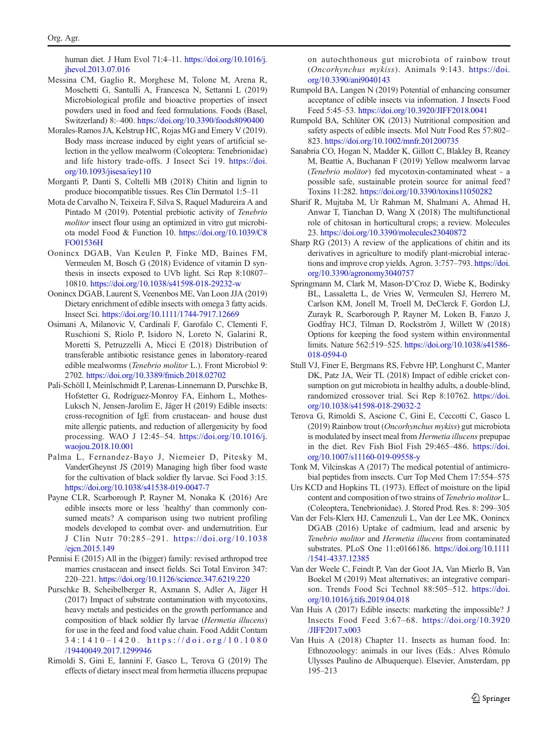<span id="page-6-0"></span>human diet. J Hum Evol 71:4–11. [https://doi.org/10.1016/j.](https://doi.org/10.1016/j.jhevol.2013.07.016) [jhevol.2013.07.016](https://doi.org/10.1016/j.jhevol.2013.07.016)

- Messina CM, Gaglio R, Morghese M, Tolone M, Arena R, Moschetti G, Santulli A, Francesca N, Settanni L (2019) Microbiological profile and bioactive properties of insect powders used in food and feed formulations. Foods (Basel, Switzerland) 8:–400. <https://doi.org/10.3390/foods8090400>
- Morales-Ramos JA, Kelstrup HC, Rojas MG and Emery V (2019). Body mass increase induced by eight years of artificial selection in the yellow mealworm (Coleoptera: Tenebrionidae) and life history trade-offs. J Insect Sci 19. [https://doi.](https://doi.org/10.1093/jisesa/iey110) [org/10.1093/jisesa/iey110](https://doi.org/10.1093/jisesa/iey110)
- Morganti P, Danti S, Coltelli MB (2018) Chitin and lignin to produce biocompatible tissues. Res Clin Dermatol 1:5–11
- Mota de Carvalho N, Teixeira F, Silva S, Raquel Madureira A and Pintado M (2019). Potential prebiotic activity of Tenebrio molitor insect flour using an optimized in vitro gut microbiota model Food & Function 10. [https://doi.org/10.1039/C8](https://doi.org/10.1039/C8FO01536H) [FO01536H](https://doi.org/10.1039/C8FO01536H)
- Oonincx DGAB, Van Keulen P, Finke MD, Baines FM, Vermeulen M, Bosch G (2018) Evidence of vitamin D synthesis in insects exposed to UVb light. Sci Rep 8:10807– 10810. <https://doi.org/10.1038/s41598-018-29232-w>
- Oonincx DGAB, Laurent S, Veenenbos ME, Van Loon JJA (2019) Dietary enrichment of edible insects with omega 3 fatty acids. Insect Sci. <https://doi.org/10.1111/1744-7917.12669>
- Osimani A, Milanovic V, Cardinali F, Garofalo C, Clementi F, Ruschioni S, Riolo P, Isidoro N, Loreto N, Galarini R, Moretti S, Petruzzelli A, Micci E (2018) Distribution of transferable antibiotic resistance genes in laboratory-reared edible mealworms (Tenebrio molitor L.). Front Microbiol 9: 2702. <https://doi.org/10.3389/fmicb.2018.02702>
- Pali-Schöll I, Meinlschmidt P, Larenas-Linnemann D, Purschke B, Hofstetter G, Rodríguez-Monroy FA, Einhorn L, Mothes-Luksch N, Jensen-Jarolim E, Jäger H (2019) Edible insects: cross-recognition of IgE from crustacean- and house dust mite allergic patients, and reduction of allergenicity by food processing. WAO J 12:45–54. [https://doi.org/10.1016/j.](https://doi.org/10.1016/j.waojou.2018.10.001) [waojou.2018.10.001](https://doi.org/10.1016/j.waojou.2018.10.001)
- Palma L, Fernandez-Bayo J, Niemeier D, Pitesky M, VanderGheynst JS (2019) Managing high fiber food waste for the cultivation of black soldier fly larvae. Sci Food 3:15. <https://doi.org/10.1038/s41538-019-0047-7>
- Payne CLR, Scarborough P, Rayner M, Nonaka K (2016) Are edible insects more or less `healthy' than commonly consumed meats? A comparison using two nutrient profiling models developed to combat over- and undernutrition. Eur J Clin Nutr 70:285–291. [https://doi.org/10.1038](https://doi.org/10.1038/ejcn.2015.149) [/ejcn.2015.149](https://doi.org/10.1038/ejcn.2015.149)
- Pennisi E (2015) All in the (bigger) family: revised arthropod tree marries crustacean and insect fields. Sci Total Environ 347: 220–221. <https://doi.org/10.1126/science.347.6219.220>
- Purschke B, Scheibelberger R, Axmann S, Adler A, Jäger H (2017) Impact of substrate contamination with mycotoxins, heavy metals and pesticides on the growth performance and composition of black soldier fly larvae (Hermetia illucens) for use in the feed and food value chain. Food Addit Contam 34:1410 – 1420. [https://doi.org/10.1080](https://doi.org/10.1080/19440049.2017.1299946) [/19440049.2017.1299946](https://doi.org/10.1080/19440049.2017.1299946)
- Rimoldi S, Gini E, Iannini F, Gasco L, Terova G (2019) The effects of dietary insect meal from hermetia illucens prepupae

on autochthonous gut microbiota of rainbow trout (Oncorhynchus mykiss). Animals 9:143. [https://doi.](https://doi.org/10.3390/ani9040143) [org/10.3390/ani9040143](https://doi.org/10.3390/ani9040143)

- Rumpold BA, Langen N (2019) Potential of enhancing consumer acceptance of edible insects via information. J Insects Food Feed 5:45–53. <https://doi.org/10.3920/JIFF2018.0041>
- Rumpold BA, Schlüter OK (2013) Nutritional composition and safety aspects of edible insects. Mol Nutr Food Res 57:802– 823. <https://doi.org/10.1002/mnfr.201200735>
- Sanabria CO, Hogan N, Madder K, Gillott C, Blakley B, Reaney M, Beattie A, Buchanan F (2019) Yellow mealworm larvae (Tenebrio molitor) fed mycotoxin-contaminated wheat - a possible safe, sustainable protein source for animal feed? Toxins 11:282. <https://doi.org/10.3390/toxins11050282>
- Sharif R, Mujtaba M, Ur Rahman M, Shalmani A, Ahmad H, Anwar T, Tianchan D, Wang X (2018) The multifunctional role of chitosan in horticultural crops; a review. Molecules 23. <https://doi.org/10.3390/molecules23040872>
- Sharp RG (2013) A review of the applications of chitin and its derivatives in agriculture to modify plant-microbial interactions and improve crop yields. Agron. 3:757–793. [https://doi.](https://doi.org/10.3390/agronomy3040757) [org/10.3390/agronomy3040757](https://doi.org/10.3390/agronomy3040757)
- Springmann M, Clark M, Mason-D'Croz D, Wiebe K, Bodirsky BL, Lassaletta L, de Vries W, Vermeulen SJ, Herrero M, Carlson KM, Jonell M, Troell M, DeClerck F, Gordon LJ, Zurayk R, Scarborough P, Rayner M, Loken B, Fanzo J, Godfray HCJ, Tilman D, Rockström J, Willett W (2018) Options for keeping the food system within environmental limits. Nature 562:519–525. [https://doi.org/10.1038/s41586-](https://doi.org/10.1038/s41586-018-0594-0) [018-0594-0](https://doi.org/10.1038/s41586-018-0594-0)
- Stull VJ, Finer E, Bergmans RS, Febvre HP, Longhurst C, Manter DK, Patz JA, Weir TL (2018) Impact of edible cricket consumption on gut microbiota in healthy adults, a double-blind, randomized crossover trial. Sci Rep 8:10762. [https://doi.](https://doi.org/10.1038/s41598-018-29032-2) [org/10.1038/s41598-018-29032-2](https://doi.org/10.1038/s41598-018-29032-2)
- Terova G, Rimoldi S, Ascione C, Gini E, Ceccotti C, Gasco L (2019) Rainbow trout (Oncorhynchus mykiss) gut microbiota is modulated by insect meal from Hermetia illucens prepupae in the diet. Rev Fish Biol Fish 29:465–486. [https://doi.](https://doi.org/10.1007/s11160-019-09558-y) [org/10.1007/s11160-019-09558-y](https://doi.org/10.1007/s11160-019-09558-y)
- Tonk M, Vilcinskas A (2017) The medical potential of antimicrobial peptides from insects. Curr Top Med Chem 17:554–575
- Urs KCD and Hopkins TL (1973). Effect of moisture on the lipid content and composition of two strains of Tenebrio molitor L. (Coleoptera, Tenebrionidae). J. Stored Prod. Res. 8: 299–305
- Van der Fels-Klerx HJ, Camenzuli L, Van der Lee MK, Oonincx DGAB (2016) Uptake of cadmium, lead and arsenic by Tenebrio molitor and Hermetia illucens from contaminated substrates. PLoS One 11:e0166186. [https://doi.org/10.1111](https://doi.org/10.1111/1541-4337.12385) [/1541-4337.12385](https://doi.org/10.1111/1541-4337.12385)
- Van der Weele C, Feindt P, Van der Goot JA, Van Mierlo B, Van Boekel M (2019) Meat alternatives; an integrative comparison. Trends Food Sci Technol 88:505–512. [https://doi.](https://doi.org/10.1016/j.tifs.2019.04.018) [org/10.1016/j.tifs.2019.04.018](https://doi.org/10.1016/j.tifs.2019.04.018)
- Van Huis A (2017) Edible insects: marketing the impossible? J Insects Food Feed 3:67–68. [https://doi.org/10.3920](https://doi.org/10.3920/JIFF2017.x003) [/JIFF2017.x003](https://doi.org/10.3920/JIFF2017.x003)
- Van Huis A (2018) Chapter 11. Insects as human food. In: Ethnozoology: animals in our lives (Eds.: Alves Rômulo Ulysses Paulino de Albuquerque). Elsevier, Amsterdam, pp 195–213